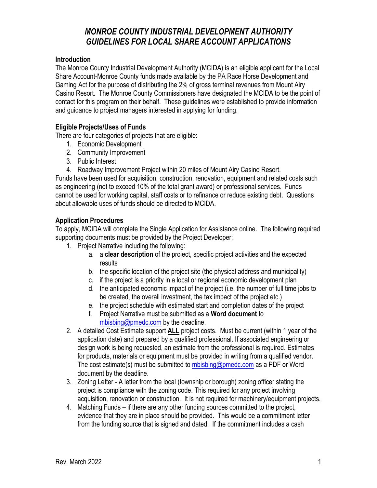# *MONROE COUNTY INDUSTRIAL DEVELOPMENT AUTHORITY GUIDELINES FOR LOCAL SHARE ACCOUNT APPLICATIONS*

#### **Introduction**

The Monroe County Industrial Development Authority (MCIDA) is an eligible applicant for the Local Share Account-Monroe County funds made available by the PA Race Horse Development and Gaming Act for the purpose of distributing the 2% of gross terminal revenues from Mount Airy Casino Resort. The Monroe County Commissioners have designated the MCIDA to be the point of contact for this program on their behalf. These guidelines were established to provide information and guidance to project managers interested in applying for funding.

#### **Eligible Projects/Uses of Funds**

There are four categories of projects that are eligible:

- 1. Economic Development
- 2. Community Improvement
- 3. Public Interest
- 4. Roadway Improvement Project within 20 miles of Mount Airy Casino Resort.

Funds have been used for acquisition, construction, renovation, equipment and related costs such as engineering (not to exceed 10% of the total grant award) or professional services. Funds cannot be used for working capital, staff costs or to refinance or reduce existing debt. Questions about allowable uses of funds should be directed to MCIDA.

#### **Application Procedures**

To apply, MCIDA will complete the Single Application for Assistance online. The following required supporting documents must be provided by the Project Developer:

- 1. Project Narrative including the following:
	- a. a **clear description** of the project, specific project activities and the expected results
	- b. the specific location of the project site (the physical address and municipality)
	- c. if the project is a priority in a local or regional economic development plan
	- d. the anticipated economic impact of the project (i.e. the number of full time jobs to be created, the overall investment, the tax impact of the project etc.)
	- e. the project schedule with estimated start and completion dates of the project
	- f. Project Narrative must be submitted as a **Word document** to [mbisbing@pmedc.com](mailto:mbisbing@pmedc.com) by the deadline.
- 2. A detailed Cost Estimate support **ALL** project costs. Must be current (within 1 year of the application date) and prepared by a qualified professional. If associated engineering or design work is being requested, an estimate from the professional is required. Estimates for products, materials or equipment must be provided in writing from a qualified vendor. The cost estimate(s) must be submitted to [mbisbing@pmedc.com](mailto:mbisbing@pmedc.com) as a PDF or Word document by the deadline.
- 3. Zoning Letter A letter from the local (township or borough) zoning officer stating the project is compliance with the zoning code. This required for any project involving acquisition, renovation or construction. It is not required for machinery/equipment projects.
- 4. Matching Funds if there are any other funding sources committed to the project, evidence that they are in place should be provided. This would be a commitment letter from the funding source that is signed and dated. If the commitment includes a cash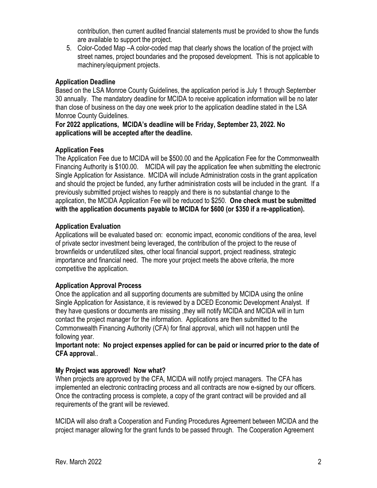contribution, then current audited financial statements must be provided to show the funds are available to support the project.

5. Color-Coded Map –A color-coded map that clearly shows the location of the project with street names, project boundaries and the proposed development. This is not applicable to machinery/equipment projects.

#### **Application Deadline**

Based on the LSA Monroe County Guidelines, the application period is July 1 through September 30 annually. The mandatory deadline for MCIDA to receive application information will be no later than close of business on the day one week prior to the application deadline stated in the LSA Monroe County Guidelines.

**For 2022 applications, MCIDA's deadline will be Friday, September 23, 2022. No applications will be accepted after the deadline.** 

## **Application Fees**

The Application Fee due to MCIDA will be \$500.00 and the Application Fee for the Commonwealth Financing Authority is \$100.00. MCIDA will pay the application fee when submitting the electronic Single Application for Assistance. MCIDA will include Administration costs in the grant application and should the project be funded, any further administration costs will be included in the grant. If a previously submitted project wishes to reapply and there is no substantial change to the application, the MCIDA Application Fee will be reduced to \$250. **One check must be submitted with the application documents payable to MCIDA for \$600 (or \$350 if a re-application).**

## **Application Evaluation**

Applications will be evaluated based on: economic impact, economic conditions of the area, level of private sector investment being leveraged, the contribution of the project to the reuse of brownfields or underutilized sites, other local financial support, project readiness, strategic importance and financial need. The more your project meets the above criteria, the more competitive the application.

#### **Application Approval Process**

Once the application and all supporting documents are submitted by MCIDA using the online Single Application for Assistance, it is reviewed by a DCED Economic Development Analyst. If they have questions or documents are missing ,they will notify MCIDA and MCIDA will in turn contact the project manager for the information. Applications are then submitted to the Commonwealth Financing Authority (CFA) for final approval, which will not happen until the following year.

#### **Important note: No project expenses applied for can be paid or incurred prior to the date of CFA approval**..

# **My Project was approved! Now what?**

When projects are approved by the CFA, MCIDA will notify project managers. The CFA has implemented an electronic contracting process and all contracts are now e-signed by our officers. Once the contracting process is complete, a copy of the grant contract will be provided and all requirements of the grant will be reviewed.

MCIDA will also draft a Cooperation and Funding Procedures Agreement between MCIDA and the project manager allowing for the grant funds to be passed through. The Cooperation Agreement